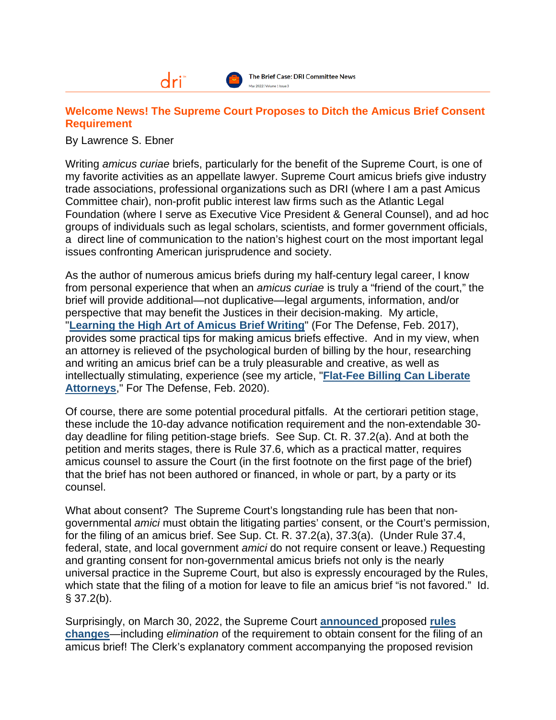## **Welcome News! The Supreme Court Proposes to Ditch the Amicus Brief Consent Requirement**

By Lawrence S. Ebner

Writing *amicus curiae* briefs, particularly for the benefit of the Supreme Court, is one of my favorite activities as an appellate lawyer. Supreme Court amicus briefs give industry trade associations, professional organizations such as DRI (where I am a past Amicus Committee chair), non-profit public interest law firms such as the Atlantic Legal Foundation (where I serve as Executive Vice President & General Counsel), and ad hoc groups of individuals such as legal scholars, scientists, and former government officials, a direct line of communication to the nation's highest court on the most important legal issues confronting American jurisprudence and society.

As the author of numerous amicus briefs during my half-century legal career, I know from personal experience that when an *amicus curiae* is truly a "friend of the court," the brief will provide additional—not duplicative—legal arguments, information, and/or perspective that may benefit the Justices in their decision-making. My article, "**[Learning the High Art of Amicus Brief Writing](https://capitalappellate.com/wp-content/uploads/Learning-the-High-Art-of-Amicus-Brief-Writing.pdf)**" (For The Defense, Feb. 2017), provides some practical tips for making amicus briefs effective. And in my view, when an attorney is relieved of the psychological burden of billing by the hour, researching and writing an amicus brief can be a truly pleasurable and creative, as well as intellectually stimulating, experience (see my article, "**[Flat-Fee Billing Can Liberate](https://capitalappellate.com/wp-content/uploads/Flat-Fee-Legal-Billing-Can-Liberate-Attorneys.pdf)  [Attorneys](https://capitalappellate.com/wp-content/uploads/Flat-Fee-Legal-Billing-Can-Liberate-Attorneys.pdf)**," For The Defense, Feb. 2020).

Of course, there are some potential procedural pitfalls. At the certiorari petition stage, these include the 10-day advance notification requirement and the non-extendable 30 day deadline for filing petition-stage briefs. See Sup. Ct. R. 37.2(a). And at both the petition and merits stages, there is Rule 37.6, which as a practical matter, requires amicus counsel to assure the Court (in the first footnote on the first page of the brief) that the brief has not been authored or financed, in whole or part, by a party or its counsel.

What about consent? The Supreme Court's longstanding rule has been that nongovernmental *amici* must obtain the litigating parties' consent, or the Court's permission, for the filing of an amicus brief. See Sup. Ct. R. 37.2(a), 37.3(a). (Under Rule 37.4, federal, state, and local government *amici* do not require consent or leave.) Requesting and granting consent for non-governmental amicus briefs not only is the nearly universal practice in the Supreme Court, but also is expressly encouraged by the Rules, which state that the filing of a motion for leave to file an amicus brief "is not favored." Id.  $§$  37.2(b).

Surprisingly, on March 30, 2022, the Supreme Court **[announced](https://www.supremecourt.gov/publicinfo/press/pressreleases/pr_03-30-22)** proposed **[rules](https://www.supremecourt.gov/filingandrules/2021_Proposed_Rules_Changes-March_2022-redline_strikeout_version.pdf)  [changes](https://www.supremecourt.gov/filingandrules/2021_Proposed_Rules_Changes-March_2022-redline_strikeout_version.pdf)**—including *elimination* of the requirement to obtain consent for the filing of an amicus brief! The Clerk's explanatory comment accompanying the proposed revision